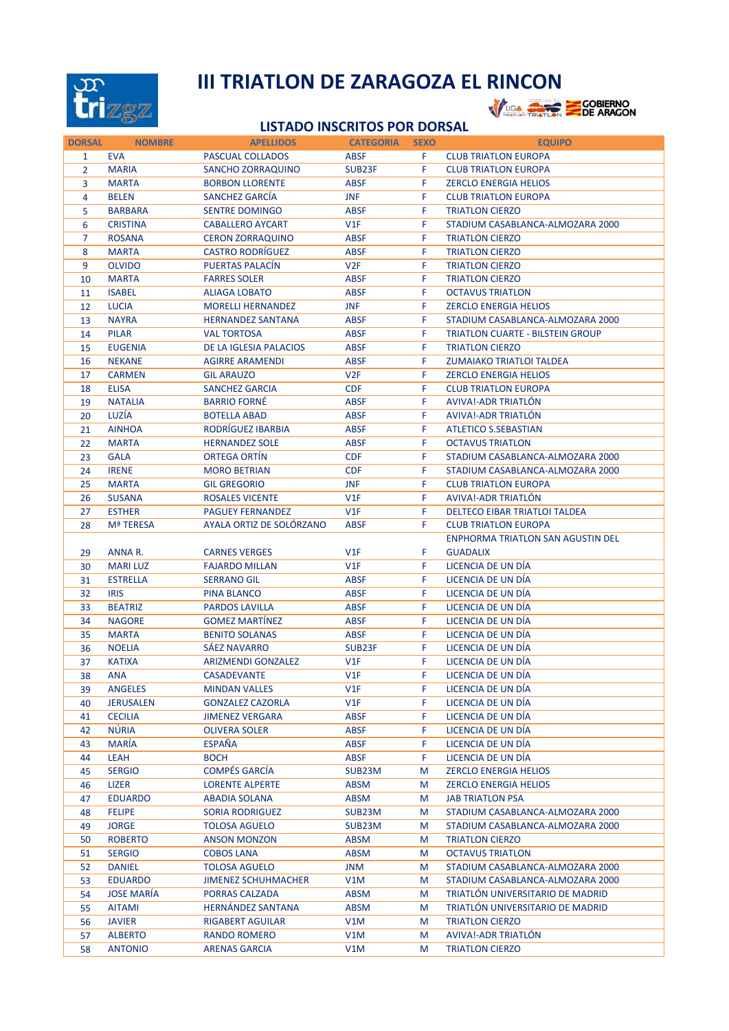

## **III TRIATLON DE ZARAGOZA EL RINCON<br>West the Energy Septembre**



## **LISTADO INSCRITOS POR DORSAL**

| <b>DORSAL</b>  | <b>NOMBRE</b>     | <b>APELLIDOS</b>           | <b>CATEGORIA</b> | <b>SEXO</b> | <b>EQUIPO</b>                            |
|----------------|-------------------|----------------------------|------------------|-------------|------------------------------------------|
| $\mathbf{1}$   | <b>EVA</b>        | PASCUAL COLLADOS           | <b>ABSF</b>      | F.          | <b>CLUB TRIATLON EUROPA</b>              |
| $\overline{2}$ | <b>MARIA</b>      | <b>SANCHO ZORRAQUINO</b>   | SUB23F           | F.          | <b>CLUB TRIATLON EUROPA</b>              |
| 3              | <b>MARTA</b>      | <b>BORBON LLORENTE</b>     | <b>ABSF</b>      | F.          | <b>ZERCLO ENERGIA HELIOS</b>             |
| 4              | <b>BELEN</b>      | SANCHEZ GARCIA             | <b>JNF</b>       | F.          | <b>CLUB TRIATLON EUROPA</b>              |
| 5              | <b>BARBARA</b>    | <b>SENTRE DOMINGO</b>      | <b>ABSF</b>      | F.          | <b>TRIATLON CIERZO</b>                   |
| 6              | <b>CRISTINA</b>   | <b>CABALLERO AYCART</b>    | V1F              | F           | STADIUM CASABLANCA-ALMOZARA 2000         |
| 7              | <b>ROSANA</b>     | <b>CERON ZORRAQUINO</b>    | <b>ABSF</b>      | F           | <b>TRIATLON CIERZO</b>                   |
| 8              | <b>MARTA</b>      | <b>CASTRO RODRÍGUEZ</b>    | <b>ABSF</b>      | F           | <b>TRIATLON CIERZO</b>                   |
| 9              | <b>OLVIDO</b>     | PUERTAS PALACIN            | V2F              | F.          | <b>TRIATLON CIERZO</b>                   |
| 10             | <b>MARTA</b>      | <b>FARRES SOLER</b>        | <b>ABSF</b>      | F.          | <b>TRIATLON CIERZO</b>                   |
|                |                   |                            |                  |             |                                          |
| 11             | <b>ISABEL</b>     | <b>ALIAGA LOBATO</b>       | <b>ABSF</b>      | F.          | <b>OCTAVUS TRIATLON</b>                  |
| 12             | <b>LUCIA</b>      | <b>MORELLI HERNANDEZ</b>   | <b>JNF</b>       | F.          | <b>ZERCLO ENERGIA HELIOS</b>             |
| 13             | <b>NAYRA</b>      | <b>HERNANDEZ SANTANA</b>   | <b>ABSF</b>      | F.          | STADIUM CASABLANCA-ALMOZARA 2000         |
| 14             | <b>PILAR</b>      | <b>VAL TORTOSA</b>         | <b>ABSF</b>      | F.          | <b>TRIATLON CUARTE - BILSTEIN GROUP</b>  |
| 15             | <b>EUGENIA</b>    | DE LA IGLESIA PALACIOS     | <b>ABSF</b>      | F.          | <b>TRIATLON CIERZO</b>                   |
| 16             | <b>NEKANE</b>     | <b>AGIRRE ARAMENDI</b>     | <b>ABSF</b>      | F.          | ZUMAIAKO TRIATLOI TALDEA                 |
| 17             | <b>CARMEN</b>     | <b>GIL ARAUZO</b>          | V2F              | F.          | <b>ZERCLO ENERGIA HELIOS</b>             |
| 18             | <b>ELISA</b>      | <b>SANCHEZ GARCIA</b>      | <b>CDF</b>       | F           | <b>CLUB TRIATLON EUROPA</b>              |
| 19             | <b>NATALIA</b>    | <b>BARRIO FORNÉ</b>        | <b>ABSF</b>      | F.          | <b>AVIVA!-ADR TRIATLÓN</b>               |
| 20             | LUZÍA             | <b>BOTELLA ABAD</b>        | <b>ABSF</b>      | F.          | <b>AVIVA!-ADR TRIATLÓN</b>               |
| 21             | <b>AINHOA</b>     | RODRÍGUEZ IBARBIA          | <b>ABSF</b>      | F           | <b>ATLETICO S.SEBASTIAN</b>              |
| 22             | <b>MARTA</b>      | <b>HERNANDEZ SOLE</b>      | <b>ABSF</b>      | F           | <b>OCTAVUS TRIATLON</b>                  |
| 23             | <b>GALA</b>       | ORTEGA ORTIN               | <b>CDF</b>       | F.          | STADIUM CASABLANCA-ALMOZARA 2000         |
| 24             | <b>IRENE</b>      | <b>MORO BETRIAN</b>        | <b>CDF</b>       | F.          | STADIUM CASABLANCA-ALMOZARA 2000         |
|                | <b>MARTA</b>      | <b>GIL GREGORIO</b>        | <b>JNF</b>       | F.          | <b>CLUB TRIATLON EUROPA</b>              |
| 25             |                   |                            |                  |             |                                          |
| 26             | <b>SUSANA</b>     | <b>ROSALES VICENTE</b>     | V1F              | F           | AVIVA!-ADR TRIATLON                      |
| 27             | <b>ESTHER</b>     | <b>PAGUEY FERNANDEZ</b>    | V1F              | F.          | DELTECO EIBAR TRIATLOI TALDEA            |
| 28             | <b>Mª TERESA</b>  | AYALA ORTIZ DE SOLÓRZANO   | <b>ABSF</b>      | F           | <b>CLUB TRIATLON EUROPA</b>              |
|                |                   |                            |                  |             | <b>ENPHORMA TRIATLON SAN AGUSTIN DEL</b> |
| 29             | ANNA R.           | <b>CARNES VERGES</b>       | V1F              | F.          | <b>GUADALIX</b>                          |
| 30             | <b>MARILUZ</b>    | <b>FAJARDO MILLAN</b>      | V1F              | F.          | LICENCIA DE UN DÍA                       |
| 31             | <b>ESTRELLA</b>   | <b>SERRANO GIL</b>         | <b>ABSF</b>      | F.          | LICENCIA DE UN DÍA                       |
| 32             | <b>IRIS</b>       | PINA BLANCO                | <b>ABSF</b>      | F.          | LICENCIA DE UN DÍA                       |
| 33             | <b>BEATRIZ</b>    | PARDOS LAVILLA             | <b>ABSF</b>      | F.          | LICENCIA DE UN DÍA                       |
| 34             | <b>NAGORE</b>     | <b>GOMEZ MARTINEZ</b>      | <b>ABSF</b>      | F           | LICENCIA DE UN DÍA                       |
| 35             | <b>MARTA</b>      | <b>BENITO SOLANAS</b>      | <b>ABSF</b>      | F           | LICENCIA DE UN DÍA                       |
| 36             | <b>NOELIA</b>     | SÁEZ NAVARRO               | SUB23F           | F.          | LICENCIA DE UN DÍA                       |
| 37             | <b>KATIXA</b>     | <b>ARIZMENDI GONZALEZ</b>  | V1F              | F.          | LICENCIA DE UN DÍA                       |
| 38             | <b>ANA</b>        | <b>CASADEVANTE</b>         | V1F              | F.          | LICENCIA DE UN DÍA                       |
| 39             | ANGELES           | <b>MINDAN VALLES</b>       | V1F              | F           | LICENCIA DE UN DIA                       |
|                | <b>JERUSALEN</b>  | <b>GONZALEZ CAZORLA</b>    | V1F              | F.          | LICENCIA DE UN DÍA                       |
| 40             |                   | <b>JIMENEZ VERGARA</b>     |                  |             | LICENCIA DE UN DÍA                       |
| 41             | <b>CECILIA</b>    |                            | <b>ABSF</b>      | F           |                                          |
| 42             | <b>NÚRIA</b>      | <b>OLIVERA SOLER</b>       | <b>ABSF</b>      | F           | LICENCIA DE UN DÍA                       |
| 43             | <b>MARÍA</b>      | ESPAÑA                     | <b>ABSF</b>      | F.          | LICENCIA DE UN DÍA                       |
| 44             | LEAH              | <b>BOCH</b>                | <b>ABSF</b>      | F.          | LICENCIA DE UN DÍA                       |
| 45             | <b>SERGIO</b>     | <b>COMPÉS GARCÍA</b>       | SUB23M           | М           | <b>ZERCLO ENERGIA HELIOS</b>             |
| 46             | LIZER             | <b>LORENTE ALPERTE</b>     | ABSM             | M           | <b>ZERCLO ENERGIA HELIOS</b>             |
| 47             | <b>EDUARDO</b>    | <b>ABADIA SOLANA</b>       | <b>ABSM</b>      | M           | <b>JAB TRIATLON PSA</b>                  |
| 48             | <b>FELIPE</b>     | <b>SORIA RODRIGUEZ</b>     | SUB23M           | M           | STADIUM CASABLANCA-ALMOZARA 2000         |
| 49             | <b>JORGE</b>      | <b>TOLOSA AGUELO</b>       | SUB23M           | M           | STADIUM CASABLANCA-ALMOZARA 2000         |
| 50             | <b>ROBERTO</b>    | <b>ANSON MONZON</b>        | <b>ABSM</b>      | M           | <b>TRIATLON CIERZO</b>                   |
| 51             | <b>SERGIO</b>     | <b>COBOS LANA</b>          | ABSM             | M           | <b>OCTAVUS TRIATLON</b>                  |
| 52             | <b>DANIEL</b>     | <b>TOLOSA AGUELO</b>       | JNM              | M           | STADIUM CASABLANCA-ALMOZARA 2000         |
| 53             | <b>EDUARDO</b>    | <b>JIMENEZ SCHUHMACHER</b> | V1M              | M           | STADIUM CASABLANCA-ALMOZARA 2000         |
| 54             | <b>JOSE MARÍA</b> | PORRAS CALZADA             | <b>ABSM</b>      | M           | TRIATLÓN UNIVERSITARIO DE MADRID         |
|                | <b>AITAMI</b>     | <b>HERNÁNDEZ SANTANA</b>   | ABSM             |             | TRIATLÓN UNIVERSITARIO DE MADRID         |
| 55             |                   |                            |                  | M           |                                          |
| 56             | <b>JAVIER</b>     | RIGABERT AGUILAR           | V1M              | M           | <b>TRIATLON CIERZO</b>                   |
| 57             | <b>ALBERTO</b>    | RANDO ROMERO               | V1M              | M           | AVIVA!-ADR TRIATLON                      |
| 58             | <b>ANTONIO</b>    | <b>ARENAS GARCIA</b>       | V1M              | М           | <b>TRIATLON CIERZO</b>                   |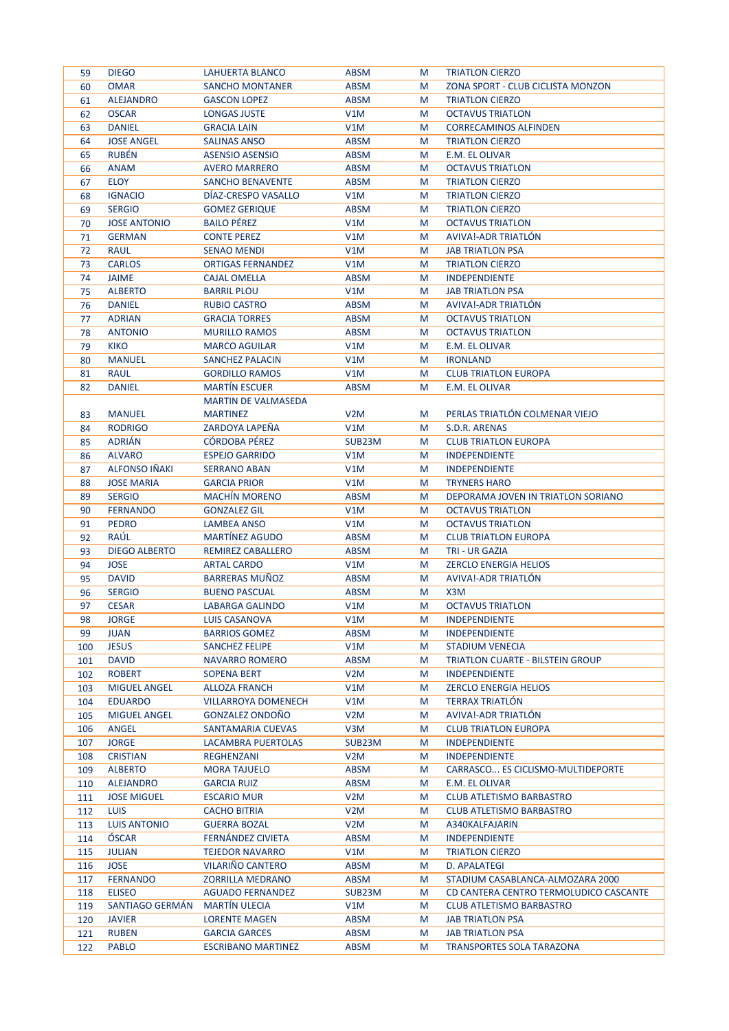| 59  | <b>DIEGO</b>         | LAHUERTA BLANCO            | <b>ABSM</b>      | M | <b>TRIATLON CIERZO</b>                 |
|-----|----------------------|----------------------------|------------------|---|----------------------------------------|
| 60  | <b>OMAR</b>          | <b>SANCHO MONTANER</b>     | <b>ABSM</b>      | М | ZONA SPORT - CLUB CICLISTA MONZON      |
| 61  | <b>ALEJANDRO</b>     | <b>GASCON LOPEZ</b>        | <b>ABSM</b>      | М | <b>TRIATLON CIERZO</b>                 |
| 62  | <b>OSCAR</b>         | <b>LONGAS JUSTE</b>        | V1M              | М | <b>OCTAVUS TRIATLON</b>                |
| 63  | <b>DANIEL</b>        | <b>GRACIA LAIN</b>         | V1M              | М | <b>CORRECAMINOS ALFINDEN</b>           |
| 64  | <b>JOSE ANGEL</b>    | <b>SALINAS ANSO</b>        | <b>ABSM</b>      | М | <b>TRIATLON CIERZO</b>                 |
| 65  | <b>RUBÉN</b>         | <b>ASENSIO ASENSIO</b>     | <b>ABSM</b>      | М | E.M. EL OLIVAR                         |
| 66  | <b>ANAM</b>          | <b>AVERO MARRERO</b>       | <b>ABSM</b>      | М | <b>OCTAVUS TRIATLON</b>                |
| 67  | <b>ELOY</b>          | <b>SANCHO BENAVENTE</b>    | <b>ABSM</b>      | М | <b>TRIATLON CIERZO</b>                 |
| 68  | <b>IGNACIO</b>       | DIAZ-CRESPO VASALLO        | V1M              | М | <b>TRIATLON CIERZO</b>                 |
| 69  | <b>SERGIO</b>        | <b>GOMEZ GERIQUE</b>       | <b>ABSM</b>      | M | <b>TRIATLON CIERZO</b>                 |
| 70  | <b>JOSE ANTONIO</b>  | <b>BAILO PÉREZ</b>         | V1M              | М | <b>OCTAVUS TRIATLON</b>                |
| 71  | <b>GERMAN</b>        | <b>CONTE PEREZ</b>         | V1M              | М | AVIVA!-ADR TRIATLON                    |
| 72  | <b>RAUL</b>          | <b>SENAO MENDI</b>         | V1M              | М | <b>JAB TRIATLON PSA</b>                |
| 73  | <b>CARLOS</b>        | <b>ORTIGAS FERNANDEZ</b>   | V1M              | М | <b>TRIATLON CIERZO</b>                 |
| 74  | <b>JAIME</b>         | CAJAL OMELLA               | <b>ABSM</b>      | M | <b>INDEPENDIENTE</b>                   |
| 75  | <b>ALBERTO</b>       | <b>BARRIL PLOU</b>         | V1M              | М | <b>JAB TRIATLON PSA</b>                |
| 76  | <b>DANIEL</b>        | <b>RUBIO CASTRO</b>        | <b>ABSM</b>      | М | AVIVA!-ADR TRIATLON                    |
| 77  | <b>ADRIAN</b>        | <b>GRACIA TORRES</b>       | <b>ABSM</b>      | М | <b>OCTAVUS TRIATLON</b>                |
| 78  | <b>ANTONIO</b>       | <b>MURILLO RAMOS</b>       | <b>ABSM</b>      | М | <b>OCTAVUS TRIATLON</b>                |
| 79  | <b>KIKO</b>          | <b>MARCO AGUILAR</b>       | V1M              | М | E.M. EL OLIVAR                         |
| 80  | <b>MANUEL</b>        | <b>SANCHEZ PALACIN</b>     | V1M              | M | <b>IRONLAND</b>                        |
| 81  | <b>RAUL</b>          | <b>GORDILLO RAMOS</b>      | V1M              | М | <b>CLUB TRIATLON EUROPA</b>            |
| 82  | <b>DANIEL</b>        | <b>MARTIN ESCUER</b>       | <b>ABSM</b>      | М | E.M. EL OLIVAR                         |
|     |                      | <b>MARTIN DE VALMASEDA</b> |                  |   |                                        |
| 83  | <b>MANUEL</b>        | <b>MARTINEZ</b>            | V <sub>2</sub> M | М | PERLAS TRIATLÓN COLMENAR VIEJO         |
|     | <b>RODRIGO</b>       | ZARDOYA LAPEÑA             | V1M              |   | S.D.R. ARENAS                          |
| 84  |                      |                            |                  | М |                                        |
| 85  | <b>ADRIAN</b>        | <b>CÓRDOBA PÉREZ</b>       | SUB23M           | М | <b>CLUB TRIATLON EUROPA</b>            |
| 86  | <b>ALVARO</b>        | <b>ESPEJO GARRIDO</b>      | V1M              | M | <b>INDEPENDIENTE</b>                   |
| 87  | <b>ALFONSO IÑAKI</b> | <b>SERRANO ABAN</b>        | V1M              | М | <b>INDEPENDIENTE</b>                   |
| 88  | <b>JOSE MARIA</b>    | <b>GARCIA PRIOR</b>        | V1M              | M | <b>TRYNERS HARO</b>                    |
| 89  | <b>SERGIO</b>        | <b>MACHÍN MORENO</b>       | <b>ABSM</b>      | М | DEPORAMA JOVEN IN TRIATLON SORIANO     |
| 90  | <b>FERNANDO</b>      | <b>GONZALEZ GIL</b>        | V1M              | М | <b>OCTAVUS TRIATLON</b>                |
| 91  | <b>PEDRO</b>         | <b>LAMBEA ANSO</b>         | V1M              | М | <b>OCTAVUS TRIATLON</b>                |
| 92  | <b>RAUL</b>          | <b>MARTINEZ AGUDO</b>      | <b>ABSM</b>      | М | <b>CLUB TRIATLON EUROPA</b>            |
| 93  | <b>DIEGO ALBERTO</b> | REMIREZ CABALLERO          | <b>ABSM</b>      | М | <b>TRI - UR GAZIA</b>                  |
| 94  | <b>JOSE</b>          | <b>ARTAL CARDO</b>         | V1M              | М | <b>ZERCLO ENERGIA HELIOS</b>           |
| 95  | <b>DAVID</b>         | <b>BARRERAS MUNOZ</b>      | <b>ABSM</b>      | М | AVIVA!-ADR TRIATLON                    |
| 96  | <b>SERGIO</b>        | <b>BUENO PASCUAL</b>       | <b>ABSM</b>      | М | X3M                                    |
| 97  | <b>CESAR</b>         | LABARGA GALINDO            | V1M              | М | <b>OCTAVUS TRIATLON</b>                |
| 98  | <b>JORGE</b>         | LUIS CASANOVA              | V1M              | M | <b>INDEPENDIENTE</b>                   |
| 99  | <b>JUAN</b>          | <b>BARRIOS GOMEZ</b>       | <b>ABSM</b>      | М | <b>INDEPENDIENTE</b>                   |
| 100 | <b>JESUS</b>         | <b>SANCHEZ FELIPE</b>      | V1M              | М | <b>STADIUM VENECIA</b>                 |
| 101 | <b>DAVID</b>         | <b>NAVARRO ROMERO</b>      | <b>ABSM</b>      | M | TRIATLON CUARTE - BILSTEIN GROUP       |
| 102 | <b>ROBERT</b>        | <b>SOPENA BERT</b>         | V <sub>2</sub> M | М | <b>INDEPENDIENTE</b>                   |
| 103 | <b>MIGUEL ANGEL</b>  | <b>ALLOZA FRANCH</b>       | V1M              | M | <b>ZERCLO ENERGIA HELIOS</b>           |
| 104 | <b>EDUARDO</b>       | <b>VILLARROYA DOMENECH</b> | V1M              | М | <b>TERRAX TRIATLÓN</b>                 |
| 105 | <b>MIGUEL ANGEL</b>  | <b>GONZALEZ ONDOÑO</b>     | V <sub>2</sub> M | М | AVIVA!-ADR TRIATLON                    |
| 106 | ANGEL                | <b>SANTAMARIA CUEVAS</b>   | V3M              | М | <b>CLUB TRIATLON EUROPA</b>            |
| 107 | <b>JORGE</b>         | LACAMBRA PUERTOLAS         | SUB23M           | М | <b>INDEPENDIENTE</b>                   |
| 108 | <b>CRISTIAN</b>      | <b>REGHENZANI</b>          | V2M              | M | <b>INDEPENDIENTE</b>                   |
| 109 | <b>ALBERTO</b>       | <b>MORA TAJUELO</b>        | <b>ABSM</b>      | M | CARRASCO ES CICLISMO-MULTIDEPORTE      |
| 110 | <b>ALEJANDRO</b>     | <b>GARCIA RUIZ</b>         | <b>ABSM</b>      | М | E.M. EL OLIVAR                         |
| 111 | <b>JOSE MIGUEL</b>   | <b>ESCARIO MUR</b>         | V2M              | M | <b>CLUB ATLETISMO BARBASTRO</b>        |
| 112 | <b>LUIS</b>          | <b>CACHO BITRIA</b>        | V2M              | М | <b>CLUB ATLETISMO BARBASTRO</b>        |
| 113 | <b>LUIS ANTONIO</b>  | <b>GUERRA BOZAL</b>        | V <sub>2</sub> M | М | A340KALFAJARIN                         |
| 114 | ÓSCAR                | FERNÁNDEZ CIVIETA          | ABSM             | М | <b>INDEPENDIENTE</b>                   |
| 115 | <b>JULIAN</b>        | <b>TEJEDOR NAVARRO</b>     | V1M              | M | <b>TRIATLON CIERZO</b>                 |
| 116 | <b>JOSE</b>          | <b>VILARIÑO CANTERO</b>    | ABSM             | M | <b>D. APALATEGI</b>                    |
| 117 | <b>FERNANDO</b>      | <b>ZORRILLA MEDRANO</b>    | ABSM             | М | STADIUM CASABLANCA-ALMOZARA 2000       |
| 118 | <b>ELISEO</b>        | <b>AGUADO FERNANDEZ</b>    | SUB23M           | М | CD CANTERA CENTRO TERMOLUDICO CASCANTE |
| 119 | SANTIAGO GERMÁN      | <b>MARTIN ULECIA</b>       | V1M              | М | <b>CLUB ATLETISMO BARBASTRO</b>        |
| 120 | <b>JAVIER</b>        | <b>LORENTE MAGEN</b>       | <b>ABSM</b>      | М | <b>JAB TRIATLON PSA</b>                |
| 121 | <b>RUBEN</b>         | <b>GARCIA GARCES</b>       | <b>ABSM</b>      | М | <b>JAB TRIATLON PSA</b>                |
| 122 | <b>PABLO</b>         | <b>ESCRIBANO MARTINEZ</b>  | <b>ABSM</b>      | М | TRANSPORTES SOLA TARAZONA              |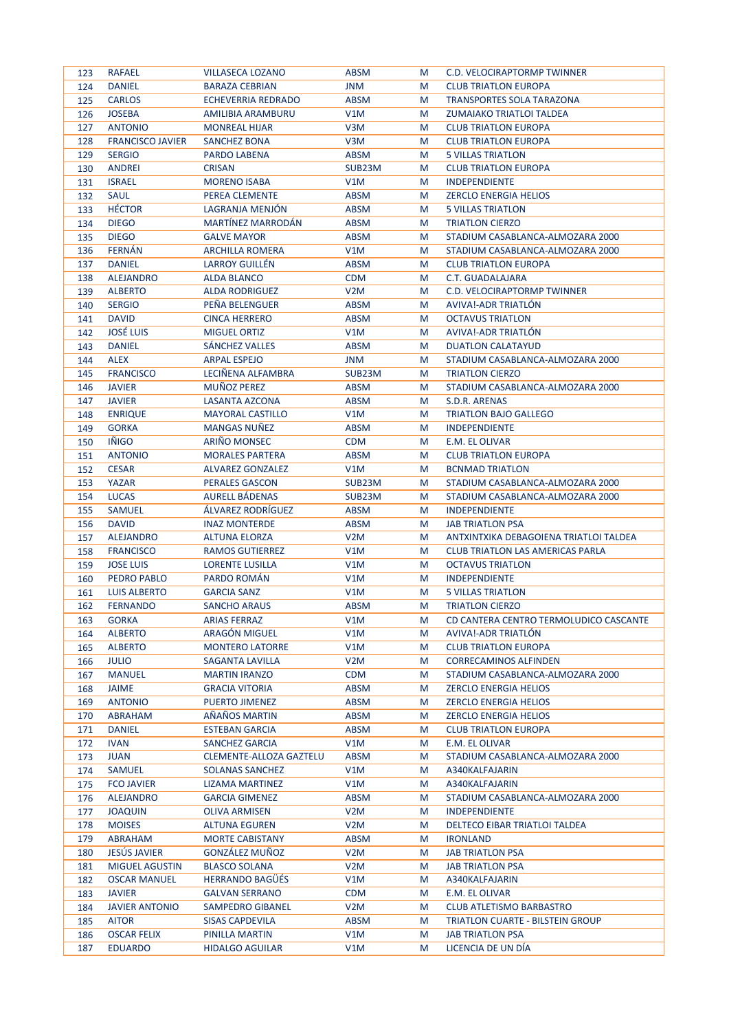| 123 | <b>RAFAEL</b>           | <b>VILLASECA LOZANO</b>        | <b>ABSM</b>      | M | C.D. VELOCIRAPTORMP TWINNER             |
|-----|-------------------------|--------------------------------|------------------|---|-----------------------------------------|
| 124 | <b>DANIEL</b>           | <b>BARAZA CEBRIAN</b>          | <b>JNM</b>       | M | <b>CLUB TRIATLON EUROPA</b>             |
| 125 | <b>CARLOS</b>           | <b>ECHEVERRIA REDRADO</b>      | <b>ABSM</b>      | M | <b>TRANSPORTES SOLA TARAZONA</b>        |
| 126 | <b>JOSEBA</b>           | AMILIBIA ARAMBURU              | V1M              | M | ZUMAIAKO TRIATLOI TALDEA                |
| 127 | <b>ANTONIO</b>          | <b>MONREAL HIJAR</b>           | V3M              | M | <b>CLUB TRIATLON EUROPA</b>             |
| 128 | <b>FRANCISCO JAVIER</b> | <b>SANCHEZ BONA</b>            | V3M              | M | <b>CLUB TRIATLON EUROPA</b>             |
| 129 | <b>SERGIO</b>           | PARDO LABENA                   | ABSM             | M | <b>5 VILLAS TRIATLON</b>                |
| 130 | <b>ANDREI</b>           | <b>CRISAN</b>                  | SUB23M           | M | <b>CLUB TRIATLON EUROPA</b>             |
| 131 | <b>ISRAEL</b>           | <b>MORENO ISABA</b>            | V1M              | M | <b>INDEPENDIENTE</b>                    |
| 132 | <b>SAUL</b>             | PEREA CLEMENTE                 | <b>ABSM</b>      | M | <b>ZERCLO ENERGIA HELIOS</b>            |
| 133 | <b>HÉCTOR</b>           | LAGRANJA MENJÓN                | <b>ABSM</b>      | M | <b>5 VILLAS TRIATLON</b>                |
|     | <b>DIEGO</b>            | <b>MARTINEZ MARRODAN</b>       | <b>ABSM</b>      | M | <b>TRIATLON CIERZO</b>                  |
| 134 |                         |                                |                  |   | STADIUM CASABLANCA-ALMOZARA 2000        |
| 135 | <b>DIEGO</b>            | <b>GALVE MAYOR</b>             | ABSM             | M |                                         |
| 136 | <b>FERNÁN</b>           | <b>ARCHILLA ROMERA</b>         | V1M              | M | STADIUM CASABLANCA-ALMOZARA 2000        |
| 137 | <b>DANIEL</b>           | <b>LARROY GUILLEN</b>          | <b>ABSM</b>      | M | <b>CLUB TRIATLON EUROPA</b>             |
| 138 | <b>ALEJANDRO</b>        | <b>ALDA BLANCO</b>             | <b>CDM</b>       | M | C.T. GUADALAJARA                        |
| 139 | <b>ALBERTO</b>          | <b>ALDA RODRIGUEZ</b>          | V <sub>2</sub> M | M | C.D. VELOCIRAPTORMP TWINNER             |
| 140 | <b>SERGIO</b>           | PEÑA BELENGUER                 | <b>ABSM</b>      | M | AVIVA!-ADR TRIATLON                     |
| 141 | <b>DAVID</b>            | <b>CINCA HERRERO</b>           | <b>ABSM</b>      | M | <b>OCTAVUS TRIATLON</b>                 |
| 142 | <b>JOSÉ LUIS</b>        | <b>MIGUEL ORTIZ</b>            | V1M              | M | AVIVA!-ADR TRIATLON                     |
| 143 | <b>DANIEL</b>           | SANCHEZ VALLES                 | ABSM             | M | <b>DUATLON CALATAYUD</b>                |
| 144 | <b>ALEX</b>             | <b>ARPAL ESPEJO</b>            | JNM              | M | STADIUM CASABLANCA-ALMOZARA 2000        |
| 145 | <b>FRANCISCO</b>        | LECIÑENA ALFAMBRA              | SUB23M           | M | <b>TRIATLON CIERZO</b>                  |
| 146 | <b>JAVIER</b>           | <b>MUÑOZ PEREZ</b>             | <b>ABSM</b>      | M | STADIUM CASABLANCA-ALMOZARA 2000        |
| 147 | <b>JAVIER</b>           | LASANTA AZCONA                 | ABSM             | M | S.D.R. ARENAS                           |
| 148 | <b>ENRIQUE</b>          | <b>MAYORAL CASTILLO</b>        | V1M              | M | <b>TRIATLON BAJO GALLEGO</b>            |
| 149 | <b>GORKA</b>            | <b>MANGAS NUNEZ</b>            | ABSM             | M | <b>INDEPENDIENTE</b>                    |
| 150 | <b>IÑIGO</b>            | <b>ARIÑO MONSEC</b>            | <b>CDM</b>       | M | E.M. EL OLIVAR                          |
| 151 | <b>ANTONIO</b>          | <b>MORALES PARTERA</b>         | ABSM             | M | <b>CLUB TRIATLON EUROPA</b>             |
| 152 | <b>CESAR</b>            | <b>ALVAREZ GONZALEZ</b>        | V1M              | M | <b>BCNMAD TRIATLON</b>                  |
| 153 | YAZAR                   | <b>PERALES GASCON</b>          | SUB23M           | M | STADIUM CASABLANCA-ALMOZARA 2000        |
| 154 | <b>LUCAS</b>            | <b>AURELL BÁDENAS</b>          | SUB23M           | M | STADIUM CASABLANCA-ALMOZARA 2000        |
| 155 | <b>SAMUEL</b>           | ÁLVAREZ RODRÍGUEZ              | <b>ABSM</b>      | M | <b>INDEPENDIENTE</b>                    |
| 156 | <b>DAVID</b>            | <b>INAZ MONTERDE</b>           | ABSM             | M | <b>JAB TRIATLON PSA</b>                 |
|     | <b>ALEJANDRO</b>        | <b>ALTUNA ELORZA</b>           | V <sub>2</sub> M | M | ANTXINTXIKA DEBAGOIENA TRIATLOI TALDEA  |
| 157 | <b>FRANCISCO</b>        |                                |                  |   |                                         |
| 158 |                         | <b>RAMOS GUTIERREZ</b>         | V1M              | M | <b>CLUB TRIATLON LAS AMERICAS PARLA</b> |
| 159 | <b>JOSE LUIS</b>        | <b>LORENTE LUSILLA</b>         | V1M              | M | <b>OCTAVUS TRIATLON</b>                 |
| 160 | PEDRO PABLO             | PARDO ROMÁN                    | V1M              | M | <b>INDEPENDIENTE</b>                    |
| 161 | <b>LUIS ALBERTO</b>     | <b>GARCIA SANZ</b>             | V1M              | M | <b>5 VILLAS TRIATLON</b>                |
| 162 | <b>FERNANDO</b>         | <b>SANCHO ARAUS</b>            | <b>ABSM</b>      | M | <b>TRIATLON CIERZO</b>                  |
| 163 | <b>GORKA</b>            | <b>ARIAS FERRAZ</b>            | V1M              | M | CD CANTERA CENTRO TERMOLUDICO CASCANTE  |
| 164 | <b>ALBERTO</b>          | ARAGÓN MIGUEL                  | V1M              | M | AVIVA!-ADR TRIATLÓN                     |
| 165 | <b>ALBERTO</b>          | <b>MONTERO LATORRE</b>         | V1M              | M | <b>CLUB TRIATLON EUROPA</b>             |
| 166 | <b>JULIO</b>            | SAGANTA LAVILLA                | V2M              | M | <b>CORRECAMINOS ALFINDEN</b>            |
| 167 | <b>MANUEL</b>           | <b>MARTIN IRANZO</b>           | <b>CDM</b>       | M | STADIUM CASABLANCA-ALMOZARA 2000        |
| 168 | <b>JAIME</b>            | <b>GRACIA VITORIA</b>          | ABSM             | M | <b>ZERCLO ENERGIA HELIOS</b>            |
| 169 | <b>ANTONIO</b>          | <b>PUERTO JIMENEZ</b>          | ABSM             | M | <b>ZERCLO ENERGIA HELIOS</b>            |
| 170 | ABRAHAM                 | AÑAÑOS MARTIN                  | <b>ABSM</b>      | M | <b>ZERCLO ENERGIA HELIOS</b>            |
| 171 | <b>DANIEL</b>           | <b>ESTEBAN GARCIA</b>          | <b>ABSM</b>      | M | <b>CLUB TRIATLON EUROPA</b>             |
| 172 | <b>IVAN</b>             | <b>SANCHEZ GARCIA</b>          | V1M              | M | E.M. EL OLIVAR                          |
| 173 | JUAN                    | <b>CLEMENTE-ALLOZA GAZTELU</b> | <b>ABSM</b>      | M | STADIUM CASABLANCA-ALMOZARA 2000        |
| 174 | <b>SAMUEL</b>           | SOLANAS SANCHEZ                | V1M              | M | A340KALFAJARIN                          |
| 175 | <b>FCO JAVIER</b>       | LIZAMA MARTINEZ                | V1M              | M | A340KALFAJARIN                          |
| 176 | <b>ALEJANDRO</b>        | <b>GARCIA GIMENEZ</b>          | <b>ABSM</b>      | M | STADIUM CASABLANCA-ALMOZARA 2000        |
| 177 | <b>JOAQUIN</b>          | <b>OLIVA ARMISEN</b>           | V2M              | M | <b>INDEPENDIENTE</b>                    |
|     |                         |                                |                  |   |                                         |
| 178 | <b>MOISES</b>           | <b>ALTUNA EGUREN</b>           | V2M              | M | DELTECO EIBAR TRIATLOI TALDEA           |
| 179 | ABRAHAM                 | <b>MORTE CABISTANY</b>         | ABSM             | M | <b>IRONLAND</b>                         |
| 180 | <b>JESUS JAVIER</b>     | GONZÁLEZ MUÑOZ                 | V2M              | M | <b>JAB TRIATLON PSA</b>                 |
| 181 | <b>MIGUEL AGUSTIN</b>   | <b>BLASCO SOLANA</b>           | V <sub>2</sub> M | M | <b>JAB TRIATLON PSA</b>                 |
| 182 | <b>OSCAR MANUEL</b>     | <b>HERRANDO BAGÜÉS</b>         | V1M              | M | A340KALFAJARIN                          |
| 183 | <b>JAVIER</b>           | <b>GALVAN SERRANO</b>          | <b>CDM</b>       | M | E.M. EL OLIVAR                          |
| 184 | <b>JAVIER ANTONIO</b>   | SAMPEDRO GIBANEL               | V2M              | M | <b>CLUB ATLETISMO BARBASTRO</b>         |
| 185 | <b>AITOR</b>            | <b>SISAS CAPDEVILA</b>         | ABSM             | M | <b>TRIATLON CUARTE - BILSTEIN GROUP</b> |
| 186 | <b>OSCAR FELIX</b>      | PINILLA MARTIN                 | V1M              | M | <b>JAB TRIATLON PSA</b>                 |
| 187 | <b>EDUARDO</b>          | <b>HIDALGO AGUILAR</b>         | V1M              | M | LICENCIA DE UN DÍA                      |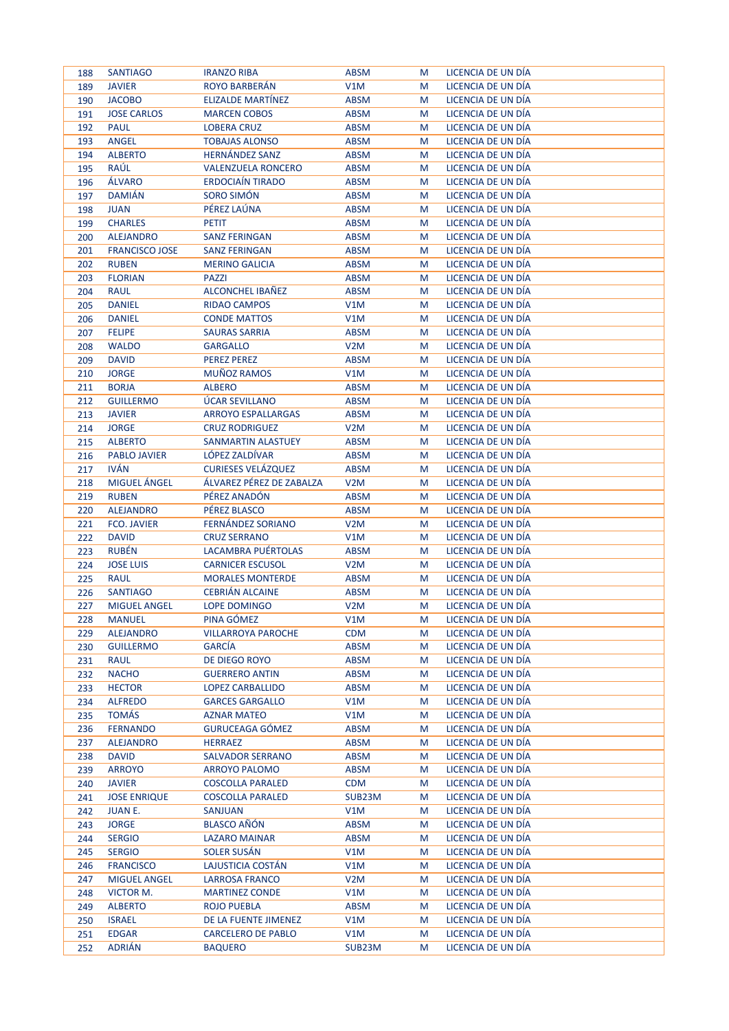| 188 | <b>SANTIAGO</b>       | <b>IRANZO RIBA</b>        | <b>ABSM</b>      | M | LICENCIA DE UN DÍA |
|-----|-----------------------|---------------------------|------------------|---|--------------------|
| 189 | <b>JAVIER</b>         | <b>ROYO BARBERÁN</b>      | V1M              | M | LICENCIA DE UN DÍA |
| 190 | <b>JACOBO</b>         | <b>ELIZALDE MARTINEZ</b>  | <b>ABSM</b>      | M | LICENCIA DE UN DÍA |
| 191 | <b>JOSE CARLOS</b>    | <b>MARCEN COBOS</b>       | <b>ABSM</b>      | M | LICENCIA DE UN DÍA |
| 192 | <b>PAUL</b>           | <b>LOBERA CRUZ</b>        | <b>ABSM</b>      | M | LICENCIA DE UN DÍA |
| 193 | <b>ANGEL</b>          | <b>TOBAJAS ALONSO</b>     | <b>ABSM</b>      | M | LICENCIA DE UN DÍA |
| 194 | <b>ALBERTO</b>        | <b>HERNANDEZ SANZ</b>     | <b>ABSM</b>      | M | LICENCIA DE UN DÍA |
| 195 | RAÚL                  | <b>VALENZUELA RONCERO</b> | <b>ABSM</b>      | M | LICENCIA DE UN DÍA |
| 196 | ÁLVARO                | <b>ERDOCIAÍN TIRADO</b>   | <b>ABSM</b>      | M | LICENCIA DE UN DÍA |
| 197 | <b>DAMIÁN</b>         | SORO SIMÓN                | <b>ABSM</b>      | M | LICENCIA DE UN DÍA |
| 198 | <b>JUAN</b>           | PÉREZ LAÚNA               | <b>ABSM</b>      | M | LICENCIA DE UN DÍA |
| 199 | <b>CHARLES</b>        | <b>PETIT</b>              | <b>ABSM</b>      | M | LICENCIA DE UN DÍA |
| 200 | <b>ALEJANDRO</b>      | <b>SANZ FERINGAN</b>      | <b>ABSM</b>      | M | LICENCIA DE UN DÍA |
| 201 | <b>FRANCISCO JOSE</b> | <b>SANZ FERINGAN</b>      | <b>ABSM</b>      | M | LICENCIA DE UN DÍA |
| 202 | <b>RUBEN</b>          | <b>MERINO GALICIA</b>     | <b>ABSM</b>      | M | LICENCIA DE UN DÍA |
| 203 | <b>FLORIAN</b>        | <b>PAZZI</b>              | <b>ABSM</b>      | M | LICENCIA DE UN DÍA |
| 204 | RAUL                  | ALCONCHEL IBAÑEZ          | <b>ABSM</b>      | M | LICENCIA DE UN DÍA |
| 205 | <b>DANIEL</b>         | <b>RIDAO CAMPOS</b>       | V1M              | M | LICENCIA DE UN DÍA |
| 206 | <b>DANIEL</b>         | <b>CONDE MATTOS</b>       | V1M              | M | LICENCIA DE UN DÍA |
| 207 | <b>FELIPE</b>         | <b>SAURAS SARRIA</b>      | <b>ABSM</b>      | M | LICENCIA DE UN DÍA |
| 208 | <b>WALDO</b>          | <b>GARGALLO</b>           | V <sub>2</sub> M | M | LICENCIA DE UN DÍA |
| 209 | <b>DAVID</b>          | <b>PEREZ PEREZ</b>        | <b>ABSM</b>      | M | LICENCIA DE UN DÍA |
| 210 | <b>JORGE</b>          | <b>MUÑOZ RAMOS</b>        | V1M              | M | LICENCIA DE UN DÍA |
| 211 | <b>BORJA</b>          | <b>ALBERO</b>             | <b>ABSM</b>      | M | LICENCIA DE UN DÍA |
| 212 | <b>GUILLERMO</b>      | ÚCAR SEVILLANO            | <b>ABSM</b>      | M | LICENCIA DE UN DÍA |
| 213 | <b>JAVIER</b>         | <b>ARROYO ESPALLARGAS</b> | <b>ABSM</b>      | M | LICENCIA DE UN DÍA |
| 214 | <b>JORGE</b>          | <b>CRUZ RODRIGUEZ</b>     | V <sub>2</sub> M | M | LICENCIA DE UN DÍA |
| 215 | <b>ALBERTO</b>        | SANMARTIN ALASTUEY        | <b>ABSM</b>      | M | LICENCIA DE UN DÍA |
| 216 | <b>PABLO JAVIER</b>   | LÓPEZ ZALDÍVAR            | <b>ABSM</b>      | M | LICENCIA DE UN DÍA |
| 217 | <b>IVÁN</b>           | <b>CURIESES VELÁZQUEZ</b> | <b>ABSM</b>      | M | LICENCIA DE UN DÍA |
| 218 | MIGUEL ÁNGEL          | ÁLVAREZ PÉREZ DE ZABALZA  | V <sub>2</sub> M | M | LICENCIA DE UN DÍA |
| 219 | <b>RUBEN</b>          | PÉREZ ANADÓN              | <b>ABSM</b>      | M | LICENCIA DE UN DÍA |
| 220 | <b>ALEJANDRO</b>      | PÉREZ BLASCO              | <b>ABSM</b>      | M | LICENCIA DE UN DÍA |
| 221 | <b>FCO. JAVIER</b>    | FERNÁNDEZ SORIANO         | V <sub>2</sub> M | M | LICENCIA DE UN DÍA |
| 222 | <b>DAVID</b>          | <b>CRUZ SERRANO</b>       | V1M              | M | LICENCIA DE UN DÍA |
| 223 | <b>RUBÉN</b>          | LACAMBRA PUÉRTOLAS        | <b>ABSM</b>      | M | LICENCIA DE UN DÍA |
| 224 | <b>JOSE LUIS</b>      | <b>CARNICER ESCUSOL</b>   | V <sub>2</sub> M | M | LICENCIA DE UN DÍA |
| 225 | <b>RAUL</b>           | <b>MORALES MONTERDE</b>   | <b>ABSM</b>      | M | LICENCIA DE UN DÍA |
| 226 | <b>SANTIAGO</b>       | <b>CEBRIÁN ALCAINE</b>    | <b>ABSM</b>      | M | LICENCIA DE UN DÍA |
| 227 | <b>MIGUEL ANGEL</b>   | LOPE DOMINGO              | V <sub>2</sub> M | M | LICENCIA DE UN DÍA |
| 228 | <b>MANUEL</b>         | PINA GÓMEZ                | V1M              | M | LICENCIA DE UN DIA |
| 229 | <b>ALEJANDRO</b>      | <b>VILLARROYA PAROCHE</b> | <b>CDM</b>       | M | LICENCIA DE UN DÍA |
| 230 | <b>GUILLERMO</b>      | <b>GARCIA</b>             | <b>ABSM</b>      | M | LICENCIA DE UN DÍA |
| 231 | <b>RAUL</b>           | DE DIEGO ROYO             | <b>ABSM</b>      | M | LICENCIA DE UN DÍA |
| 232 | <b>NACHO</b>          | <b>GUERRERO ANTIN</b>     | <b>ABSM</b>      | M | LICENCIA DE UN DÍA |
| 233 | <b>HECTOR</b>         | LOPEZ CARBALLIDO          | <b>ABSM</b>      | M | LICENCIA DE UN DÍA |
| 234 | <b>ALFREDO</b>        | <b>GARCES GARGALLO</b>    | V1M              | M | LICENCIA DE UN DÍA |
| 235 | <b>TOMÁS</b>          | <b>AZNAR MATEO</b>        | V1M              | M | LICENCIA DE UN DÍA |
| 236 | <b>FERNANDO</b>       | GURUCEAGA GÓMEZ           | <b>ABSM</b>      | M | LICENCIA DE UN DÍA |
| 237 | <b>ALEJANDRO</b>      | <b>HERRAEZ</b>            | ABSM             | M | LICENCIA DE UN DÍA |
| 238 | <b>DAVID</b>          | SALVADOR SERRANO          | <b>ABSM</b>      | M | LICENCIA DE UN DÍA |
| 239 | <b>ARROYO</b>         | ARROYO PALOMO             | <b>ABSM</b>      | M | LICENCIA DE UN DÍA |
| 240 | <b>JAVIER</b>         | <b>COSCOLLA PARALED</b>   | <b>CDM</b>       | M | LICENCIA DE UN DÍA |
| 241 | <b>JOSE ENRIQUE</b>   | <b>COSCOLLA PARALED</b>   | SUB23M           | M | LICENCIA DE UN DÍA |
| 242 | <b>JUANE.</b>         | <b>SANJUAN</b>            | V1M              | M | LICENCIA DE UN DÍA |
| 243 | <b>JORGE</b>          | <b>BLASCO AÑÓN</b>        | <b>ABSM</b>      | M | LICENCIA DE UN DÍA |
| 244 | <b>SERGIO</b>         | <b>LAZARO MAINAR</b>      | <b>ABSM</b>      | M | LICENCIA DE UN DÍA |
| 245 | <b>SERGIO</b>         | SOLER SUSÁN               | V1M              | M | LICENCIA DE UN DÍA |
| 246 | <b>FRANCISCO</b>      | LAJUSTICIA COSTÁN         | V1M              | M | LICENCIA DE UN DÍA |
| 247 | <b>MIGUEL ANGEL</b>   | <b>LARROSA FRANCO</b>     | V <sub>2</sub> M | M | LICENCIA DE UN DÍA |
| 248 | VICTOR M.             | <b>MARTINEZ CONDE</b>     | V1M              | M | LICENCIA DE UN DÍA |
| 249 | <b>ALBERTO</b>        | <b>ROJO PUEBLA</b>        | <b>ABSM</b>      | M | LICENCIA DE UN DÍA |
| 250 | <b>ISRAEL</b>         | DE LA FUENTE JIMENEZ      | V1M              | M | LICENCIA DE UN DÍA |
| 251 | <b>EDGAR</b>          | <b>CARCELERO DE PABLO</b> | V1M              | M | LICENCIA DE UN DÍA |
| 252 | <b>ADRIÁN</b>         | <b>BAQUERO</b>            | SUB23M           | M | LICENCIA DE UN DÍA |